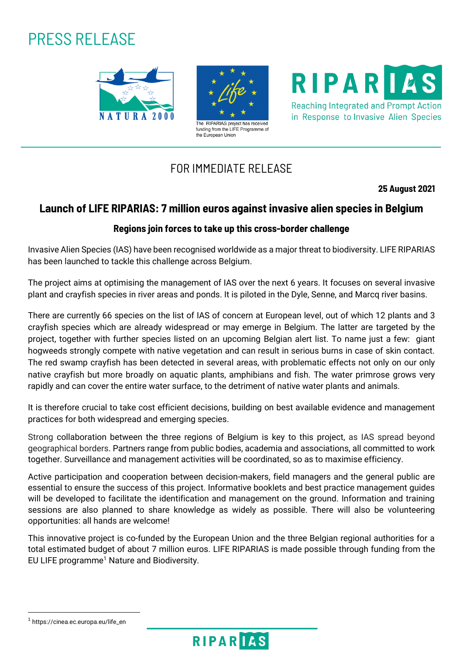# PRESS RELEASE





RIPARIAS **Reaching Integrated and Prompt Action** 

in Response to Invasive Alien Species

## FOR IMMEDIATE RELEASE

**25 August 2021**

## **Launch of LIFE RIPARIAS: 7 million euros against invasive alien species in Belgium**

### **Regions join forces to take up this cross-border challenge**

Invasive Alien Species (IAS) have been recognised worldwide as a major threat to biodiversity. LIFE RIPARIAS has been launched to tackle this challenge across Belgium.

The project aims at optimising the management of IAS over the next 6 years. It focuses on several invasive plant and crayfish species in river areas and ponds. It is piloted in the Dyle, Senne, and Marcq river basins.

There are currently 66 species on the list of IAS of concern at European level, out of which 12 plants and 3 crayfish species which are already widespread or may emerge in Belgium. The latter are targeted by the project, together with further species listed on an upcoming Belgian alert list. To name just a few: giant hogweeds strongly compete with native vegetation and can result in serious burns in case of skin contact. The red swamp crayfish has been detected in several areas, with problematic effects not only on our only native crayfish but more broadly on aquatic plants, amphibians and fish. The water primrose grows very rapidly and can cover the entire water surface, to the detriment of native water plants and animals.

It is therefore crucial to take cost efficient decisions, building on best available evidence and management practices for both widespread and emerging species.

Strong collaboration between the three regions of Belgium is key to this project, as IAS spread beyond geographical borders. Partners range from public bodies, academia and associations, all committed to work together. Surveillance and management activities will be coordinated, so as to maximise efficiency.

Active participation and cooperation between decision-makers, field managers and the general public are essential to ensure the success of this project. Informative booklets and best practice management guides will be developed to facilitate the identification and management on the ground. Information and training sessions are also planned to share knowledge as widely as possible. There will also be volunteering opportunities: all hands are welcome!

This innovative project is co-funded by the European Union and the three Belgian regional authorities for a total estimated budget of about 7 million euros. LIFE RIPARIAS is made possible through funding from the EU LIFE programme<sup>1</sup> Nature and Biodiversity.

**.** 



<sup>1</sup> https://cinea.ec.europa.eu/life\_en